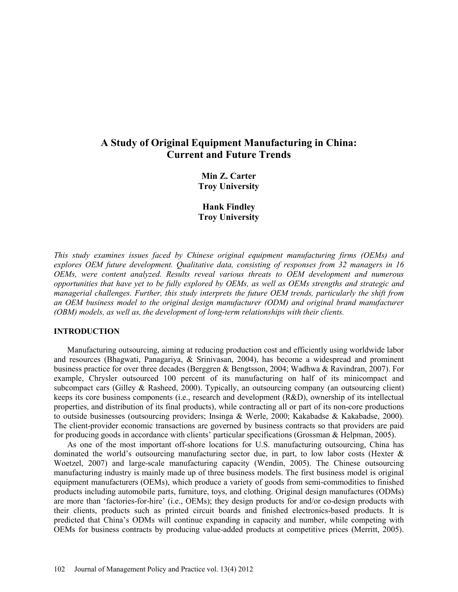# **A Study of Original Equipment Manufacturing in China: Current and Future Trends**

**Min Z. Carter Troy University**

**Hank Findley Troy University**

*This study examines issues faced by Chinese original equipment manufacturing firms (OEMs) and explores OEM future development. Qualitative data, consisting of responses from 32 managers in 16 OEMs, were content analyzed. Results reveal various threats to OEM development and numerous opportunities that have yet to be fully explored by OEMs, as well as OEMs strengths and strategic and managerial challenges. Further, this study interprets the future OEM trends, particularly the shift from an OEM business model to the original design manufacturer (ODM) and original brand manufacturer (OBM) models, as well as, the development of long-term relationships with their clients.*

### **INTRODUCTION**

Manufacturing outsourcing, aiming at reducing production cost and efficiently using worldwide labor and resources (Bhagwati, Panagariya, & Srinivasan, 2004), has become a widespread and prominent business practice for over three decades (Berggren & Bengtsson, 2004; Wadhwa & Ravindran, 2007). For example, Chrysler outsourced 100 percent of its manufacturing on half of its minicompact and subcompact cars (Gilley & Rasheed, 2000). Typically, an outsourcing company (an outsourcing client) keeps its core business components (i.e., research and development (R&D), ownership of its intellectual properties, and distribution of its final products), while contracting all or part of its non-core productions to outside businesses (outsourcing providers; Insinga & Werle, 2000; Kakabadse & Kakabadse, 2000). The client-provider economic transactions are governed by business contracts so that providers are paid for producing goods in accordance with clients' particular specifications (Grossman & Helpman, 2005).

As one of the most important off-shore locations for U.S. manufacturing outsourcing, China has dominated the world's outsourcing manufacturing sector due, in part, to low labor costs (Hexter  $\&$ Woetzel, 2007) and large-scale manufacturing capacity (Wendin, 2005). The Chinese outsourcing manufacturing industry is mainly made up of three business models. The first business model is original equipment manufacturers (OEMs), which produce a variety of goods from semi-commodities to finished products including automobile parts, furniture, toys, and clothing. Original design manufactures (ODMs) are more than 'factories-for-hire' (i.e., OEMs); they design products for and/or co-design products with their clients, products such as printed circuit boards and finished electronics-based products. It is predicted that China's ODMs will continue expanding in capacity and number, while competing with OEMs for business contracts by producing value-added products at competitive prices (Merritt, 2005).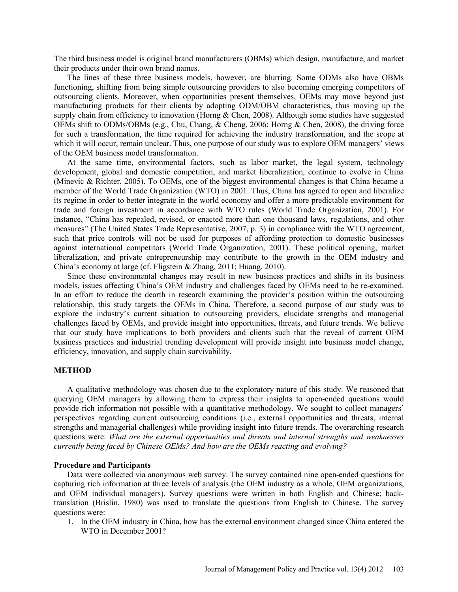The third business model is original brand manufacturers (OBMs) which design, manufacture, and market their products under their own brand names.

The lines of these three business models, however, are blurring. Some ODMs also have OBMs functioning, shifting from being simple outsourcing providers to also becoming emerging competitors of outsourcing clients. Moreover, when opportunities present themselves, OEMs may move beyond just manufacturing products for their clients by adopting ODM/OBM characteristics, thus moving up the supply chain from efficiency to innovation (Horng & Chen, 2008). Although some studies have suggested OEMs shift to ODMs/OBMs (e.g., Chu, Chang, & Cheng, 2006; Horng & Chen, 2008), the driving force for such a transformation, the time required for achieving the industry transformation, and the scope at which it will occur, remain unclear. Thus, one purpose of our study was to explore OEM managers' views of the OEM business model transformation.

At the same time, environmental factors, such as labor market, the legal system, technology development, global and domestic competition, and market liberalization, continue to evolve in China (Minevic & Richter, 2005). To OEMs, one of the biggest environmental changes is that China became a member of the World Trade Organization (WTO) in 2001. Thus, China has agreed to open and liberalize its regime in order to better integrate in the world economy and offer a more predictable environment for trade and foreign investment in accordance with WTO rules (World Trade Organization, 2001). For instance, "China has repealed, revised, or enacted more than one thousand laws, regulations, and other measures" (The United States Trade Representative, 2007, p. 3) in compliance with the WTO agreement, such that price controls will not be used for purposes of affording protection to domestic businesses against international competitors (World Trade Organization, 2001). These political opening, market liberalization, and private entrepreneurship may contribute to the growth in the OEM industry and China's economy at large (cf. Fligstein & Zhang, 2011; Huang, 2010).

Since these environmental changes may result in new business practices and shifts in its business models, issues affecting China's OEM industry and challenges faced by OEMs need to be re-examined. In an effort to reduce the dearth in research examining the provider's position within the outsourcing relationship, this study targets the OEMs in China. Therefore, a second purpose of our study was to explore the industry's current situation to outsourcing providers, elucidate strengths and managerial challenges faced by OEMs, and provide insight into opportunities, threats, and future trends. We believe that our study have implications to both providers and clients such that the reveal of current OEM business practices and industrial trending development will provide insight into business model change, efficiency, innovation, and supply chain survivability.

### **METHOD**

A qualitative methodology was chosen due to the exploratory nature of this study. We reasoned that querying OEM managers by allowing them to express their insights to open-ended questions would provide rich information not possible with a quantitative methodology. We sought to collect managers' perspectives regarding current outsourcing conditions (i.e., external opportunities and threats, internal strengths and managerial challenges) while providing insight into future trends. The overarching research questions were: *What are the external opportunities and threats and internal strengths and weaknesses currently being faced by Chinese OEMs? And how are the OEMs reacting and evolving?* 

### **Procedure and Participants**

Data were collected via anonymous web survey. The survey contained nine open-ended questions for capturing rich information at three levels of analysis (the OEM industry as a whole, OEM organizations, and OEM individual managers). Survey questions were written in both English and Chinese; backtranslation (Brislin, 1980) was used to translate the questions from English to Chinese. The survey questions were:

1. In the OEM industry in China, how has the external environment changed since China entered the WTO in December 2001?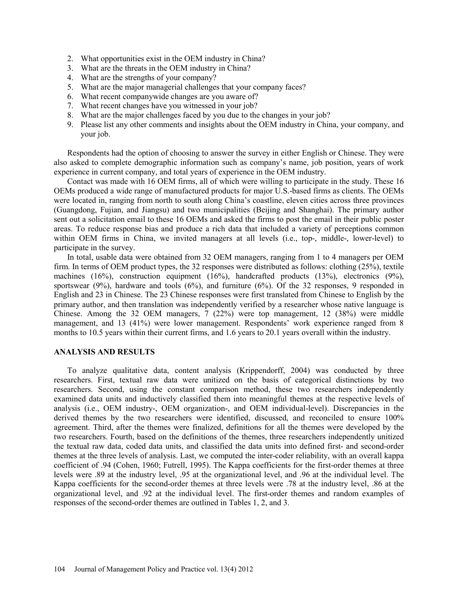- 2. What opportunities exist in the OEM industry in China?
- 3. What are the threats in the OEM industry in China?
- 4. What are the strengths of your company?
- 5. What are the major managerial challenges that your company faces?
- 6. What recent companywide changes are you aware of?
- 7. What recent changes have you witnessed in your job?
- 8. What are the major challenges faced by you due to the changes in your job?
- 9. Please list any other comments and insights about the OEM industry in China, your company, and your job.

Respondents had the option of choosing to answer the survey in either English or Chinese. They were also asked to complete demographic information such as company's name, job position, years of work experience in current company, and total years of experience in the OEM industry.

Contact was made with 16 OEM firms, all of which were willing to participate in the study. These 16 OEMs produced a wide range of manufactured products for major U.S.-based firms as clients. The OEMs were located in, ranging from north to south along China's coastline, eleven cities across three provinces (Guangdong, Fujian, and Jiangsu) and two municipalities (Beijing and Shanghai). The primary author sent out a solicitation email to these 16 OEMs and asked the firms to post the email in their public poster areas. To reduce response bias and produce a rich data that included a variety of perceptions common within OEM firms in China, we invited managers at all levels (i.e., top-, middle-, lower-level) to participate in the survey.

In total, usable data were obtained from 32 OEM managers, ranging from 1 to 4 managers per OEM firm. In terms of OEM product types, the 32 responses were distributed as follows: clothing (25%), textile machines (16%), construction equipment (16%), handcrafted products (13%), electronics (9%), sportswear (9%), hardware and tools (6%), and furniture (6%). Of the 32 responses, 9 responded in English and 23 in Chinese. The 23 Chinese responses were first translated from Chinese to English by the primary author, and then translation was independently verified by a researcher whose native language is Chinese. Among the 32 OEM managers, 7 (22%) were top management, 12 (38%) were middle management, and 13 (41%) were lower management. Respondents' work experience ranged from 8 months to 10.5 years within their current firms, and 1.6 years to 20.1 years overall within the industry.

### **ANALYSIS AND RESULTS**

To analyze qualitative data, content analysis (Krippendorff, 2004) was conducted by three researchers. First, textual raw data were unitized on the basis of categorical distinctions by two researchers. Second, using the constant comparison method, these two researchers independently examined data units and inductively classified them into meaningful themes at the respective levels of analysis (i.e., OEM industry-, OEM organization-, and OEM individual-level). Discrepancies in the derived themes by the two researchers were identified, discussed, and reconciled to ensure 100% agreement. Third, after the themes were finalized, definitions for all the themes were developed by the two researchers. Fourth, based on the definitions of the themes, three researchers independently unitized the textual raw data, coded data units, and classified the data units into defined first- and second-order themes at the three levels of analysis. Last, we computed the inter-coder reliability, with an overall kappa coefficient of .94 (Cohen, 1960; Futrell, 1995). The Kappa coefficients for the first-order themes at three levels were .89 at the industry level, .95 at the organizational level, and .96 at the individual level. The Kappa coefficients for the second-order themes at three levels were .78 at the industry level, .86 at the organizational level, and .92 at the individual level. The first-order themes and random examples of responses of the second-order themes are outlined in Tables 1, 2, and 3.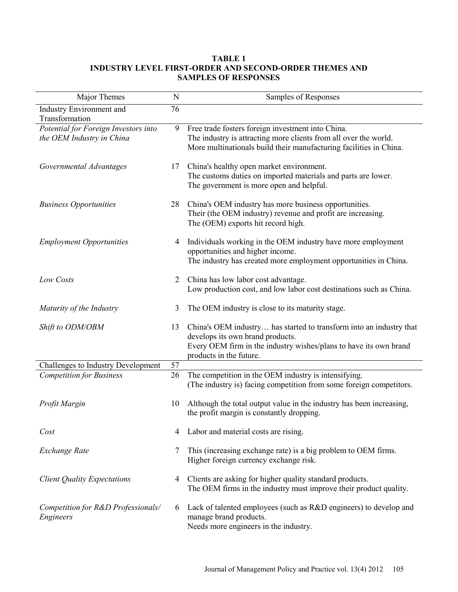# **TABLE 1 INDUSTRY LEVEL FIRST-ORDER AND SECOND-ORDER THEMES AND SAMPLES OF RESPONSES**

| Major Themes                                                      | N              | Samples of Responses                                                                                                                                                                                    |
|-------------------------------------------------------------------|----------------|---------------------------------------------------------------------------------------------------------------------------------------------------------------------------------------------------------|
| Industry Environment and<br>Transformation                        | 76             |                                                                                                                                                                                                         |
| Potential for Foreign Investors into<br>the OEM Industry in China | 9              | Free trade fosters foreign investment into China.<br>The industry is attracting more clients from all over the world.<br>More multinationals build their manufacturing facilities in China.             |
| Governmental Advantages                                           | 17             | China's healthy open market environment.<br>The customs duties on imported materials and parts are lower.<br>The government is more open and helpful.                                                   |
| <b>Business Opportunities</b>                                     | 28             | China's OEM industry has more business opportunities.<br>Their (the OEM industry) revenue and profit are increasing.<br>The (OEM) exports hit record high.                                              |
| <b>Employment Opportunities</b>                                   | 4              | Individuals working in the OEM industry have more employment<br>opportunities and higher income.<br>The industry has created more employment opportunities in China.                                    |
| Low Costs                                                         | $\overline{2}$ | China has low labor cost advantage.<br>Low production cost, and low labor cost destinations such as China.                                                                                              |
| Maturity of the Industry                                          | 3              | The OEM industry is close to its maturity stage.                                                                                                                                                        |
| Shift to ODM/OBM                                                  | 13             | China's OEM industry has started to transform into an industry that<br>develops its own brand products.<br>Every OEM firm in the industry wishes/plans to have its own brand<br>products in the future. |
| Challenges to Industry Development                                | 57             |                                                                                                                                                                                                         |
| <b>Competition for Business</b>                                   | 26             | The competition in the OEM industry is intensifying.<br>(The industry is) facing competition from some foreign competitors.                                                                             |
| Profit Margin                                                     | 10             | Although the total output value in the industry has been increasing,<br>the profit margin is constantly dropping.                                                                                       |
| Cost                                                              | 4              | Labor and material costs are rising.                                                                                                                                                                    |
| Exchange Rate                                                     | 7              | This (increasing exchange rate) is a big problem to OEM firms.<br>Higher foreign currency exchange risk.                                                                                                |
| <b>Client Quality Expectations</b>                                | 4              | Clients are asking for higher quality standard products.<br>The OEM firms in the industry must improve their product quality.                                                                           |
| Competition for R&D Professionals/<br>Engineers                   | 6              | Lack of talented employees (such as R&D engineers) to develop and<br>manage brand products.<br>Needs more engineers in the industry.                                                                    |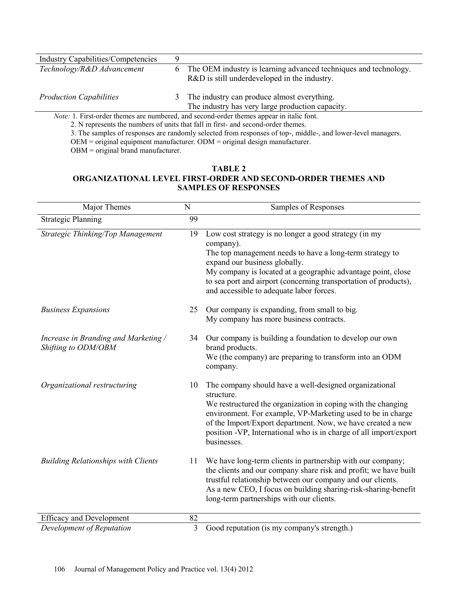| <b>Industry Capabilities/Competencies</b>                                                       |   |                                                                                                                  |
|-------------------------------------------------------------------------------------------------|---|------------------------------------------------------------------------------------------------------------------|
| Technology/R&D Advancement                                                                      | 6 | The OEM industry is learning advanced techniques and technology.<br>R&D is still underdeveloped in the industry. |
|                                                                                                 |   |                                                                                                                  |
| <b>Production Capabilities</b>                                                                  | 3 | The industry can produce almost everything.                                                                      |
|                                                                                                 |   | The industry has very large production capacity.                                                                 |
| <i>Note:</i> 1. First-order themes are numbered, and second-order themes appear in italic font. |   |                                                                                                                  |
| 2. Margareta the munk and affinite that fall in Cast, and account and and antenna               |   |                                                                                                                  |

2. N represents the numbers of units that fall in first- and second-order themes.

3. The samples of responses are randomly selected from responses of top-, middle-, and lower-level managers.

OEM = original equipment manufacturer. ODM = original design manufacturer.

OBM = original brand manufacturer.

# **TABLE 2 ORGANIZATIONAL LEVEL FIRST-ORDER AND SECOND-ORDER THEMES AND SAMPLES OF RESPONSES**

| Major Themes                                                | $\mathbf N$    | Samples of Responses                                                                                                                                                                                                                                                                                                                                   |
|-------------------------------------------------------------|----------------|--------------------------------------------------------------------------------------------------------------------------------------------------------------------------------------------------------------------------------------------------------------------------------------------------------------------------------------------------------|
| <b>Strategic Planning</b>                                   | 99             |                                                                                                                                                                                                                                                                                                                                                        |
| Strategic Thinking/Top Management                           | 19             | Low cost strategy is no longer a good strategy (in my<br>company).<br>The top management needs to have a long-term strategy to<br>expand our business globally.<br>My company is located at a geographic advantage point, close<br>to sea port and airport (concerning transportation of products),<br>and accessible to adequate labor forces.        |
| <b>Business Expansions</b>                                  | 25             | Our company is expanding, from small to big.<br>My company has more business contracts.                                                                                                                                                                                                                                                                |
| Increase in Branding and Marketing /<br>Shifting to ODM/OBM | 34             | Our company is building a foundation to develop our own<br>brand products.<br>We (the company) are preparing to transform into an ODM<br>company.                                                                                                                                                                                                      |
| Organizational restructuring                                | 10             | The company should have a well-designed organizational<br>structure.<br>We restructured the organization in coping with the changing<br>environment. For example, VP-Marketing used to be in charge<br>of the Import/Export department. Now, we have created a new<br>position -VP, International who is in charge of all import/export<br>businesses. |
| <b>Building Relationships with Clients</b>                  | 11             | We have long-term clients in partnership with our company;<br>the clients and our company share risk and profit; we have built<br>trustful relationship between our company and our clients.<br>As a new CEO, I focus on building sharing-risk-sharing-benefit<br>long-term partnerships with our clients.                                             |
| <b>Efficacy and Development</b>                             | 82             |                                                                                                                                                                                                                                                                                                                                                        |
| Development of Reputation                                   | $\mathfrak{Z}$ | Good reputation (is my company's strength.)                                                                                                                                                                                                                                                                                                            |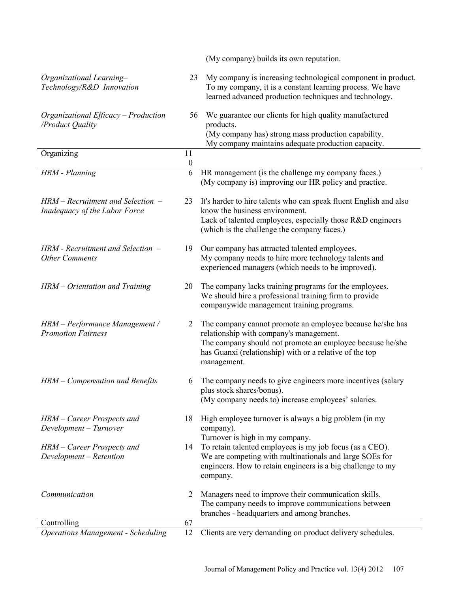|                                                                        |                        | (My company) builds its own reputation.                                                                                                                                                                                                     |
|------------------------------------------------------------------------|------------------------|---------------------------------------------------------------------------------------------------------------------------------------------------------------------------------------------------------------------------------------------|
| Organizational Learning-<br>Technology/R&D Innovation                  | 23                     | My company is increasing technological component in product.<br>To my company, it is a constant learning process. We have<br>learned advanced production techniques and technology.                                                         |
| Organizational Efficacy - Production<br>/Product Quality               | 56                     | We guarantee our clients for high quality manufactured<br>products.<br>(My company has) strong mass production capability.<br>My company maintains adequate production capacity.                                                            |
| Organizing                                                             | 11<br>$\boldsymbol{0}$ |                                                                                                                                                                                                                                             |
| HRM - Planning                                                         | 6                      | HR management (is the challenge my company faces.)<br>(My company is) improving our HR policy and practice.                                                                                                                                 |
| $HRM - Recruitment$ and Selection $-$<br>Inadequacy of the Labor Force | 23                     | It's harder to hire talents who can speak fluent English and also<br>know the business environment.<br>Lack of talented employees, especially those R&D engineers<br>(which is the challenge the company faces.)                            |
| $HRM$ - Recruitment and Selection $-$<br><b>Other Comments</b>         | 19                     | Our company has attracted talented employees.<br>My company needs to hire more technology talents and<br>experienced managers (which needs to be improved).                                                                                 |
| HRM - Orientation and Training                                         | 20                     | The company lacks training programs for the employees.<br>We should hire a professional training firm to provide<br>companywide management training programs.                                                                               |
| HRM - Performance Management /<br><b>Promotion Fairness</b>            | 2                      | The company cannot promote an employee because he/she has<br>relationship with company's management.<br>The company should not promote an employee because he/she<br>has Guanxi (relationship) with or a relative of the top<br>management. |
| HRM - Compensation and Benefits                                        | 6                      | The company needs to give engineers more incentives (salary<br>plus stock shares/bonus).<br>(My company needs to) increase employees' salaries.                                                                                             |
| HRM – Career Prospects and<br>Development - Turnover                   | 18                     | High employee turnover is always a big problem (in my<br>company).                                                                                                                                                                          |
| HRM - Career Prospects and<br>Development - Retention                  | 14                     | Turnover is high in my company.<br>To retain talented employees is my job focus (as a CEO).<br>We are competing with multinationals and large SOEs for<br>engineers. How to retain engineers is a big challenge to my<br>company.           |
| Communication                                                          | 2                      | Managers need to improve their communication skills.<br>The company needs to improve communications between<br>branches - headquarters and among branches.                                                                                  |
| Controlling                                                            | 67                     |                                                                                                                                                                                                                                             |
| <b>Operations Management - Scheduling</b>                              | 12                     | Clients are very demanding on product delivery schedules.                                                                                                                                                                                   |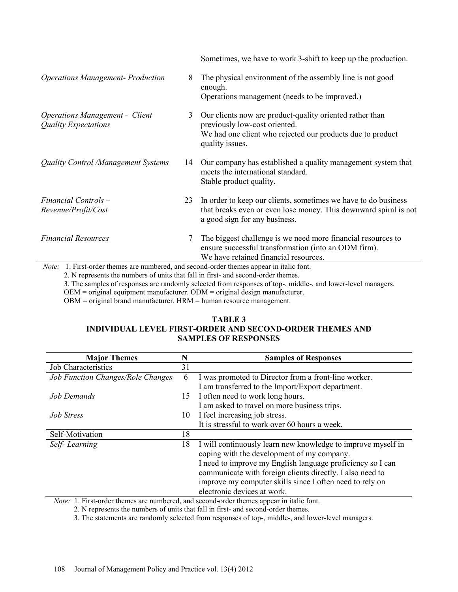|                                                                                          |    | Sometimes, we have to work 3-shift to keep up the production.                                                                                                 |
|------------------------------------------------------------------------------------------|----|---------------------------------------------------------------------------------------------------------------------------------------------------------------|
| <b>Operations Management- Production</b>                                                 | 8  | The physical environment of the assembly line is not good<br>enough.<br>Operations management (needs to be improved.)                                         |
|                                                                                          |    |                                                                                                                                                               |
| <b>Operations Management - Client</b><br><b>Quality Expectations</b>                     | 3  | Our clients now are product-quality oriented rather than<br>previously low-cost oriented.<br>We had one client who rejected our products due to product       |
|                                                                                          |    | quality issues.                                                                                                                                               |
| Quality Control /Management Systems                                                      | 14 | Our company has established a quality management system that<br>meets the international standard.<br>Stable product quality.                                  |
| Financial Controls -                                                                     | 23 | In order to keep our clients, sometimes we have to do business                                                                                                |
| Revenue/Profit/Cost                                                                      |    | that breaks even or even lose money. This downward spiral is not<br>a good sign for any business.                                                             |
| <b>Financial Resources</b>                                                               | 7  | The biggest challenge is we need more financial resources to<br>ensure successful transformation (into an ODM firm).<br>We have retained financial resources. |
| Note: 1. First-order themes are numbered, and second-order themes appear in italic font. |    |                                                                                                                                                               |
| 2. N represents the numbers of units that fall in first, and second-order themes         |    |                                                                                                                                                               |

2. N represents the numbers of units that fall in first- and second-order themes.

3. The samples of responses are randomly selected from responses of top-, middle-, and lower-level managers.

OEM = original equipment manufacturer. ODM = original design manufacturer.

OBM = original brand manufacturer. HRM = human resource management.

### **TABLE 3 INDIVIDUAL LEVEL FIRST-ORDER AND SECOND-ORDER THEMES AND SAMPLES OF RESPONSES**

| <b>Major Themes</b>               | N  | <b>Samples of Responses</b>                                  |
|-----------------------------------|----|--------------------------------------------------------------|
| <b>Job Characteristics</b>        | 31 |                                                              |
| Job Function Changes/Role Changes | 6  | I was promoted to Director from a front-line worker.         |
|                                   |    | I am transferred to the Import/Export department.            |
| Job Demands                       | 15 | I often need to work long hours.                             |
|                                   |    | I am asked to travel on more business trips.                 |
| <b>Job Stress</b>                 | 10 | I feel increasing job stress.                                |
|                                   |    | It is stressful to work over 60 hours a week.                |
| Self-Motivation                   | 18 |                                                              |
| Self-Learning                     | 18 | I will continuously learn new knowledge to improve myself in |
|                                   |    | coping with the development of my company.                   |
|                                   |    | I need to improve my English language proficiency so I can   |
|                                   |    | communicate with foreign clients directly. I also need to    |
|                                   |    | improve my computer skills since I often need to rely on     |
|                                   |    | electronic devices at work.                                  |

*Note:* 1. First-order themes are numbered, and second-order themes appear in italic font.

2. N represents the numbers of units that fall in first- and second-order themes.

3. The statements are randomly selected from responses of top-, middle-, and lower-level managers.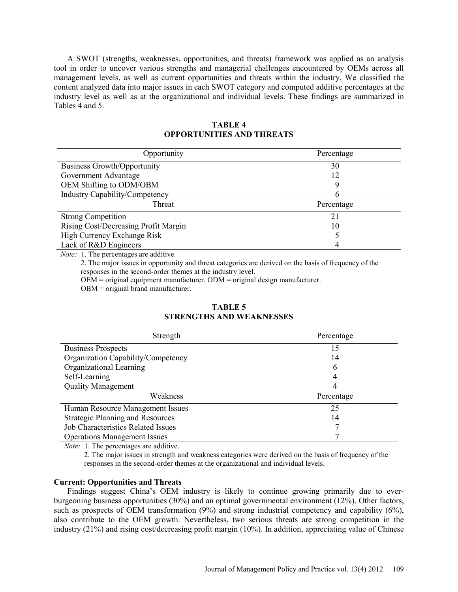A SWOT (strengths, weaknesses, opportunities, and threats) framework was applied as an analysis tool in order to uncover various strengths and managerial challenges encountered by OEMs across all management levels, as well as current opportunities and threats within the industry. We classified the content analyzed data into major issues in each SWOT category and computed additive percentages at the industry level as well as at the organizational and individual levels. These findings are summarized in Tables 4 and 5.

| Opportunity                          | Percentage |
|--------------------------------------|------------|
| <b>Business Growth/Opportunity</b>   | 30         |
| Government Advantage                 | 12         |
| OEM Shifting to ODM/OBM              | Q          |
| Industry Capability/Competency       | h          |
| Threat                               | Percentage |
| <b>Strong Competition</b>            | 21         |
| Rising Cost/Decreasing Profit Margin | 10         |
| High Currency Exchange Risk          |            |
| Lack of R&D Engineers                | 4          |

### **TABLE 4 OPPORTUNITIES AND THREATS**

*Note:* 1. The percentages are additive.

2. The major issues in opportunity and threat categories are derived on the basis of frequency of the responses in the second-order themes at the industry level.

OEM = original equipment manufacturer. ODM = original design manufacturer.

OBM = original brand manufacturer.

| Strength                                  | Percentage |
|-------------------------------------------|------------|
| <b>Business Prospects</b>                 | 15         |
| Organization Capability/Competency        | 14         |
| Organizational Learning                   | 6          |
| Self-Learning                             | 4          |
| <b>Quality Management</b>                 | 4          |
| Weakness                                  | Percentage |
| Human Resource Management Issues          | 25         |
| <b>Strategic Planning and Resources</b>   | 14         |
| <b>Job Characteristics Related Issues</b> |            |
| <b>Operations Management Issues</b>       |            |

### **TABLE 5 STRENGTHS AND WEAKNESSES**

*Note:* 1. The percentages are additive.

2. The major issues in strength and weakness categories were derived on the basis of frequency of the responses in the second-order themes at the organizational and individual levels.

### **Current: Opportunities and Threats**

Findings suggest China's OEM industry is likely to continue growing primarily due to everburgeoning business opportunities (30%) and an optimal governmental environment (12%). Other factors, such as prospects of OEM transformation (9%) and strong industrial competency and capability (6%), also contribute to the OEM growth. Nevertheless, two serious threats are strong competition in the industry (21%) and rising cost/decreasing profit margin (10%). In addition, appreciating value of Chinese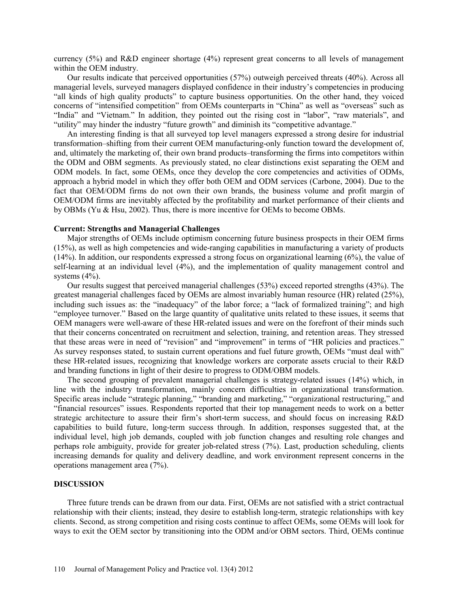currency (5%) and R&D engineer shortage (4%) represent great concerns to all levels of management within the OEM industry.

Our results indicate that perceived opportunities (57%) outweigh perceived threats (40%). Across all managerial levels, surveyed managers displayed confidence in their industry's competencies in producing "all kinds of high quality products" to capture business opportunities. On the other hand, they voiced concerns of "intensified competition" from OEMs counterparts in "China" as well as "overseas" such as "India" and "Vietnam." In addition, they pointed out the rising cost in "labor", "raw materials", and "utility" may hinder the industry "future growth" and diminish its "competitive advantage."

An interesting finding is that all surveyed top level managers expressed a strong desire for industrial transformation–shifting from their current OEM manufacturing-only function toward the development of, and, ultimately the marketing of, their own brand products–transforming the firms into competitors within the ODM and OBM segments. As previously stated, no clear distinctions exist separating the OEM and ODM models. In fact, some OEMs, once they develop the core competencies and activities of ODMs, approach a hybrid model in which they offer both OEM and ODM services (Carbone, 2004). Due to the fact that OEM/ODM firms do not own their own brands, the business volume and profit margin of OEM/ODM firms are inevitably affected by the profitability and market performance of their clients and by OBMs (Yu & Hsu, 2002). Thus, there is more incentive for OEMs to become OBMs.

#### **Current: Strengths and Managerial Challenges**

Major strengths of OEMs include optimism concerning future business prospects in their OEM firms (15%), as well as high competencies and wide-ranging capabilities in manufacturing a variety of products (14%). In addition, our respondents expressed a strong focus on organizational learning (6%), the value of self-learning at an individual level (4%), and the implementation of quality management control and systems  $(4\%)$ .

Our results suggest that perceived managerial challenges (53%) exceed reported strengths (43%). The greatest managerial challenges faced by OEMs are almost invariably human resource (HR) related (25%), including such issues as: the "inadequacy" of the labor force; a "lack of formalized training"; and high "employee turnover." Based on the large quantity of qualitative units related to these issues, it seems that OEM managers were well-aware of these HR-related issues and were on the forefront of their minds such that their concerns concentrated on recruitment and selection, training, and retention areas. They stressed that these areas were in need of "revision" and "improvement" in terms of "HR policies and practices." As survey responses stated, to sustain current operations and fuel future growth, OEMs "must deal with" these HR-related issues, recognizing that knowledge workers are corporate assets crucial to their R&D and branding functions in light of their desire to progress to ODM/OBM models.

The second grouping of prevalent managerial challenges is strategy-related issues (14%) which, in line with the industry transformation, mainly concern difficulties in organizational transformation. Specific areas include "strategic planning," "branding and marketing," "organizational restructuring," and "financial resources" issues. Respondents reported that their top management needs to work on a better strategic architecture to assure their firm's short-term success, and should focus on increasing R&D capabilities to build future, long-term success through. In addition, responses suggested that, at the individual level, high job demands, coupled with job function changes and resulting role changes and perhaps role ambiguity, provide for greater job-related stress (7%). Last, production scheduling, clients increasing demands for quality and delivery deadline, and work environment represent concerns in the operations management area (7%).

#### **DISCUSSION**

Three future trends can be drawn from our data. First, OEMs are not satisfied with a strict contractual relationship with their clients; instead, they desire to establish long-term, strategic relationships with key clients. Second, as strong competition and rising costs continue to affect OEMs, some OEMs will look for ways to exit the OEM sector by transitioning into the ODM and/or OBM sectors. Third, OEMs continue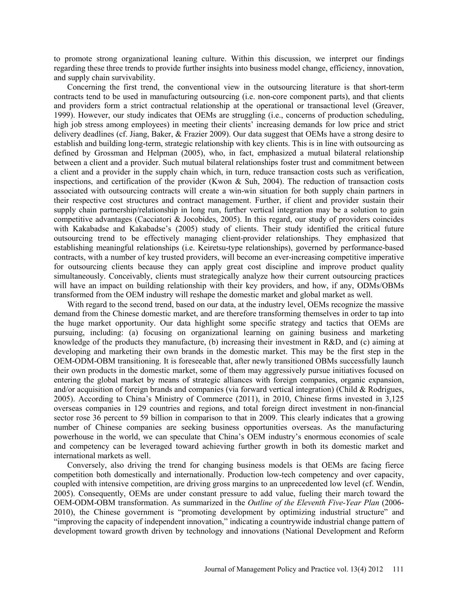to promote strong organizational leaning culture. Within this discussion, we interpret our findings regarding these three trends to provide further insights into business model change, efficiency, innovation, and supply chain survivability.

Concerning the first trend, the conventional view in the outsourcing literature is that short-term contracts tend to be used in manufacturing outsourcing (i.e. non-core component parts), and that clients and providers form a strict contractual relationship at the operational or transactional level (Greaver, 1999). However, our study indicates that OEMs are struggling (i.e., concerns of production scheduling, high job stress among employees) in meeting their clients' increasing demands for low price and strict delivery deadlines (cf. Jiang, Baker, & Frazier 2009). Our data suggest that OEMs have a strong desire to establish and building long-term, strategic relationship with key clients. This is in line with outsourcing as defined by Grossman and Helpman (2005), who, in fact, emphasized a mutual bilateral relationship between a client and a provider. Such mutual bilateral relationships foster trust and commitment between a client and a provider in the supply chain which, in turn, reduce transaction costs such as verification, inspections, and certification of the provider (Kwon & Suh, 2004). The reduction of transaction costs associated with outsourcing contracts will create a win-win situation for both supply chain partners in their respective cost structures and contract management. Further, if client and provider sustain their supply chain partnership/relationship in long run, further vertical integration may be a solution to gain competitive advantages (Cacciatori & Jocobides, 2005). In this regard, our study of providers coincides with Kakabadse and Kakabadse's (2005) study of clients. Their study identified the critical future outsourcing trend to be effectively managing client-provider relationships. They emphasized that establishing meaningful relationships (i.e. Keiretsu-type relationships), governed by performance-based contracts, with a number of key trusted providers, will become an ever-increasing competitive imperative for outsourcing clients because they can apply great cost discipline and improve product quality simultaneously. Conceivably, clients must strategically analyze how their current outsourcing practices will have an impact on building relationship with their key providers, and how, if any, ODMs/OBMs transformed from the OEM industry will reshape the domestic market and global market as well.

With regard to the second trend, based on our data, at the industry level, OEMs recognize the massive demand from the Chinese domestic market, and are therefore transforming themselves in order to tap into the huge market opportunity. Our data highlight some specific strategy and tactics that OEMs are pursuing, including: (a) focusing on organizational learning on gaining business and marketing knowledge of the products they manufacture, (b) increasing their investment in R&D, and (c) aiming at developing and marketing their own brands in the domestic market. This may be the first step in the OEM-ODM-OBM transitioning. It is foreseeable that, after newly transitioned OBMs successfully launch their own products in the domestic market, some of them may aggressively pursue initiatives focused on entering the global market by means of strategic alliances with foreign companies, organic expansion, and/or acquisition of foreign brands and companies (via forward vertical integration) (Child & Rodrigues, 2005). According to China's Ministry of Commerce (2011), in 2010, Chinese firms invested in 3,125 overseas companies in 129 countries and regions, and total foreign direct investment in non-financial sector rose 36 percent to 59 billion in comparison to that in 2009. This clearly indicates that a growing number of Chinese companies are seeking business opportunities overseas. As the manufacturing powerhouse in the world, we can speculate that China's OEM industry's enormous economies of scale and competency can be leveraged toward achieving further growth in both its domestic market and international markets as well.

Conversely, also driving the trend for changing business models is that OEMs are facing fierce competition both domestically and internationally. Production low-tech competency and over capacity, coupled with intensive competition, are driving gross margins to an unprecedented low level (cf. Wendin, 2005). Consequently, OEMs are under constant pressure to add value, fueling their march toward the OEM-ODM-OBM transformation. As summarized in the *Outline of the Eleventh Five-Year Plan* (2006- 2010), the Chinese government is "promoting development by optimizing industrial structure" and "improving the capacity of independent innovation," indicating a countrywide industrial change pattern of development toward growth driven by technology and innovations (National Development and Reform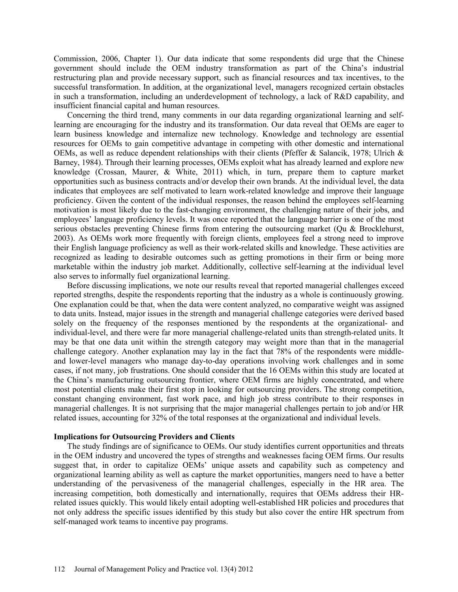Commission, 2006, Chapter 1). Our data indicate that some respondents did urge that the Chinese government should include the OEM industry transformation as part of the China's industrial restructuring plan and provide necessary support, such as financial resources and tax incentives, to the successful transformation. In addition, at the organizational level, managers recognized certain obstacles in such a transformation, including an underdevelopment of technology, a lack of R&D capability, and insufficient financial capital and human resources.

Concerning the third trend, many comments in our data regarding organizational learning and selflearning are encouraging for the industry and its transformation. Our data reveal that OEMs are eager to learn business knowledge and internalize new technology. Knowledge and technology are essential resources for OEMs to gain competitive advantage in competing with other domestic and international OEMs, as well as reduce dependent relationships with their clients (Pfeffer & Salancik, 1978; Ulrich & Barney, 1984). Through their learning processes, OEMs exploit what has already learned and explore new knowledge (Crossan, Maurer, & White, 2011) which, in turn, prepare them to capture market opportunities such as business contracts and/or develop their own brands. At the individual level, the data indicates that employees are self motivated to learn work-related knowledge and improve their language proficiency. Given the content of the individual responses, the reason behind the employees self-learning motivation is most likely due to the fast-changing environment, the challenging nature of their jobs, and employees' language proficiency levels. It was once reported that the language barrier is one of the most serious obstacles preventing Chinese firms from entering the outsourcing market (Qu & Brocklehurst, 2003). As OEMs work more frequently with foreign clients, employees feel a strong need to improve their English language proficiency as well as their work-related skills and knowledge. These activities are recognized as leading to desirable outcomes such as getting promotions in their firm or being more marketable within the industry job market. Additionally, collective self-learning at the individual level also serves to informally fuel organizational learning.

Before discussing implications, we note our results reveal that reported managerial challenges exceed reported strengths, despite the respondents reporting that the industry as a whole is continuously growing. One explanation could be that, when the data were content analyzed, no comparative weight was assigned to data units. Instead, major issues in the strength and managerial challenge categories were derived based solely on the frequency of the responses mentioned by the respondents at the organizational- and individual-level, and there were far more managerial challenge-related units than strength-related units. It may be that one data unit within the strength category may weight more than that in the managerial challenge category. Another explanation may lay in the fact that 78% of the respondents were middleand lower-level managers who manage day-to-day operations involving work challenges and in some cases, if not many, job frustrations. One should consider that the 16 OEMs within this study are located at the China's manufacturing outsourcing frontier, where OEM firms are highly concentrated, and where most potential clients make their first stop in looking for outsourcing providers. The strong competition, constant changing environment, fast work pace, and high job stress contribute to their responses in managerial challenges. It is not surprising that the major managerial challenges pertain to job and/or HR related issues, accounting for 32% of the total responses at the organizational and individual levels.

### **Implications for Outsourcing Providers and Clients**

The study findings are of significance to OEMs. Our study identifies current opportunities and threats in the OEM industry and uncovered the types of strengths and weaknesses facing OEM firms. Our results suggest that, in order to capitalize OEMs' unique assets and capability such as competency and organizational learning ability as well as capture the market opportunities, mangers need to have a better understanding of the pervasiveness of the managerial challenges, especially in the HR area. The increasing competition, both domestically and internationally, requires that OEMs address their HRrelated issues quickly. This would likely entail adopting well-established HR policies and procedures that not only address the specific issues identified by this study but also cover the entire HR spectrum from self-managed work teams to incentive pay programs.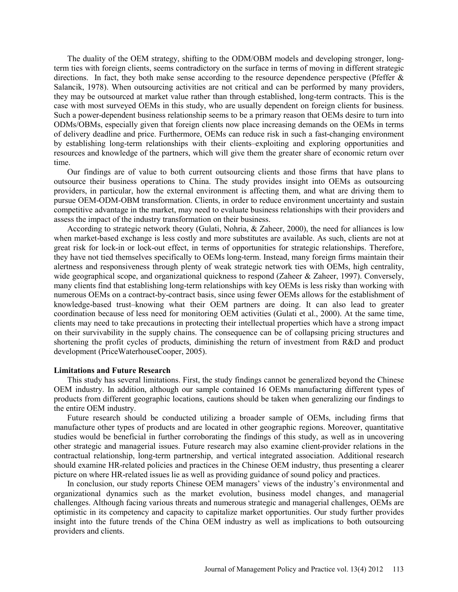The duality of the OEM strategy, shifting to the ODM/OBM models and developing stronger, longterm ties with foreign clients, seems contradictory on the surface in terms of moving in different strategic directions. In fact, they both make sense according to the resource dependence perspective (Pfeffer  $\&$ Salancik, 1978). When outsourcing activities are not critical and can be performed by many providers, they may be outsourced at market value rather than through established, long-term contracts. This is the case with most surveyed OEMs in this study, who are usually dependent on foreign clients for business. Such a power-dependent business relationship seems to be a primary reason that OEMs desire to turn into ODMs/OBMs, especially given that foreign clients now place increasing demands on the OEMs in terms of delivery deadline and price. Furthermore, OEMs can reduce risk in such a fast-changing environment by establishing long-term relationships with their clients–exploiting and exploring opportunities and resources and knowledge of the partners, which will give them the greater share of economic return over time.

Our findings are of value to both current outsourcing clients and those firms that have plans to outsource their business operations to China. The study provides insight into OEMs as outsourcing providers, in particular, how the external environment is affecting them, and what are driving them to pursue OEM-ODM-OBM transformation. Clients, in order to reduce environment uncertainty and sustain competitive advantage in the market, may need to evaluate business relationships with their providers and assess the impact of the industry transformation on their business.

According to strategic network theory (Gulati, Nohria, & Zaheer, 2000), the need for alliances is low when market-based exchange is less costly and more substitutes are available. As such, clients are not at great risk for lock-in or lock-out effect, in terms of opportunities for strategic relationships. Therefore, they have not tied themselves specifically to OEMs long-term. Instead, many foreign firms maintain their alertness and responsiveness through plenty of weak strategic network ties with OEMs, high centrality, wide geographical scope, and organizational quickness to respond (Zaheer & Zaheer, 1997). Conversely, many clients find that establishing long-term relationships with key OEMs is less risky than working with numerous OEMs on a contract-by-contract basis, since using fewer OEMs allows for the establishment of knowledge-based trust–knowing what their OEM partners are doing. It can also lead to greater coordination because of less need for monitoring OEM activities (Gulati et al., 2000). At the same time, clients may need to take precautions in protecting their intellectual properties which have a strong impact on their survivability in the supply chains. The consequence can be of collapsing pricing structures and shortening the profit cycles of products, diminishing the return of investment from R&D and product development (PriceWaterhouseCooper, 2005).

#### **Limitations and Future Research**

This study has several limitations. First, the study findings cannot be generalized beyond the Chinese OEM industry. In addition, although our sample contained 16 OEMs manufacturing different types of products from different geographic locations, cautions should be taken when generalizing our findings to the entire OEM industry.

Future research should be conducted utilizing a broader sample of OEMs, including firms that manufacture other types of products and are located in other geographic regions. Moreover, quantitative studies would be beneficial in further corroborating the findings of this study, as well as in uncovering other strategic and managerial issues. Future research may also examine client-provider relations in the contractual relationship, long-term partnership, and vertical integrated association. Additional research should examine HR-related policies and practices in the Chinese OEM industry, thus presenting a clearer picture on where HR-related issues lie as well as providing guidance of sound policy and practices.

In conclusion, our study reports Chinese OEM managers' views of the industry's environmental and organizational dynamics such as the market evolution, business model changes, and managerial challenges. Although facing various threats and numerous strategic and managerial challenges, OEMs are optimistic in its competency and capacity to capitalize market opportunities. Our study further provides insight into the future trends of the China OEM industry as well as implications to both outsourcing providers and clients.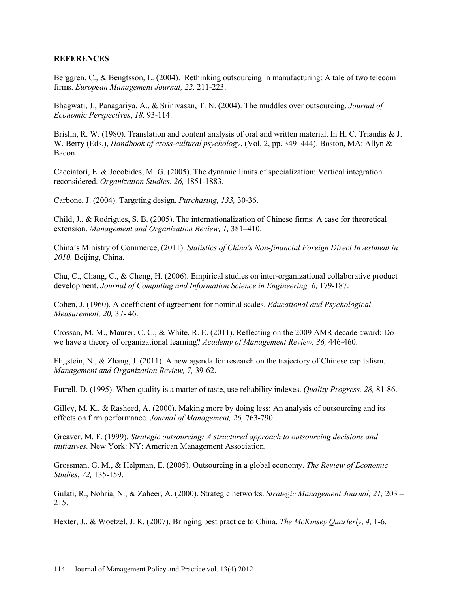### **REFERENCES**

Berggren, C., & Bengtsson, L. (2004). Rethinking outsourcing in manufacturing: A tale of two telecom firms. *European Management Journal, 22,* 211-223.

Bhagwati, J., Panagariya, A., & Srinivasan, T. N. (2004). The muddles over outsourcing. *Journal of Economic Perspectives*, *18,* 93-114.

Brislin, R. W. (1980). Translation and content analysis of oral and written material. In H. C. Triandis & J. W. Berry (Eds.), *Handbook of cross-cultural psychology*, (Vol. 2, pp. 349–444). Boston, MA: Allyn & Bacon.

Cacciatori, E. & Jocobides, M. G. (2005). The dynamic limits of specialization: Vertical integration reconsidered. *Organization Studies*, *26,* 1851-1883.

Carbone, J. (2004). Targeting design. *Purchasing, 133,* 30-36.

Child, J., & Rodrigues, S. B. (2005). The internationalization of Chinese firms: A case for theoretical extension. *Management and Organization Review, 1,* 381–410.

China's Ministry of Commerce, (2011). *Statistics of China's Non-financial Foreign Direct Investment in 2010.* Beijing, China.

Chu, C., Chang, C., & Cheng, H. (2006). Empirical studies on inter-organizational collaborative product development. *Journal of Computing and Information Science in Engineering, 6, 179-187.* 

Cohen, J. (1960). A coefficient of agreement for nominal scales. *Educational and Psychological Measurement, 20,* 37- 46.

Crossan, M. M., Maurer, C. C., & White, R. E. (2011). Reflecting on the 2009 AMR decade award: Do we have a theory of organizational learning? *Academy of Management Review, 36,* 446-460.

Fligstein, N., & Zhang, J. (2011). A new agenda for research on the trajectory of Chinese capitalism. *Management and Organization Review, 7,* 39-62.

Futrell, D. (1995). When quality is a matter of taste, use reliability indexes. *Quality Progress, 28,* 81-86.

Gilley, M. K., & Rasheed, A. (2000). Making more by doing less: An analysis of outsourcing and its effects on firm performance. *Journal of Management, 26,* 763-790.

Greaver, M. F. (1999). *Strategic outsourcing: A structured approach to outsourcing decisions and initiatives.* New York: NY: American Management Association.

Grossman, G. M., & Helpman, E. (2005). Outsourcing in a global economy. *The Review of Economic Studies*, *72,* 135-159.

Gulati, R., Nohria, N., & Zaheer, A. (2000). Strategic networks. *Strategic Management Journal, 21,* 203 – 215.

Hexter, J., & Woetzel, J. R. (2007). Bringing best practice to China. *The McKinsey Quarterly*, *4,* 1-6.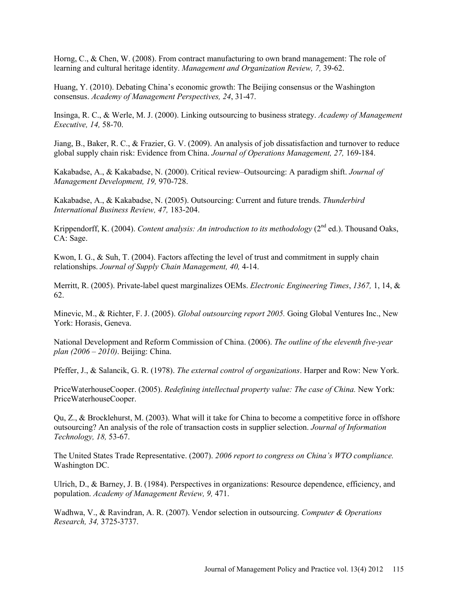Horng, C., & Chen, W. (2008). From contract manufacturing to own brand management: The role of learning and cultural heritage identity. *Management and Organization Review, 7,* 39-62.

Huang, Y. (2010). Debating China's economic growth: The Beijing consensus or the Washington consensus. *Academy of Management Perspectives, 24*, 31-47.

Insinga, R. C., & Werle, M. J. (2000). Linking outsourcing to business strategy. *Academy of Management Executive, 14,* 58-70.

Jiang, B., Baker, R. C., & Frazier, G. V. (2009). An analysis of job dissatisfaction and turnover to reduce global supply chain risk: Evidence from China. *Journal of Operations Management, 27,* 169-184.

Kakabadse, A., & Kakabadse, N. (2000). Critical review–Outsourcing: A paradigm shift. *Journal of Management Development, 19,* 970-728.

Kakabadse, A., & Kakabadse, N. (2005). Outsourcing: Current and future trends. *Thunderbird International Business Review, 47,* 183-204.

Krippendorff, K. (2004). *Content analysis: An introduction to its methodology* (2<sup>nd</sup> ed.). Thousand Oaks, CA: Sage.

Kwon, I. G., & Suh, T. (2004). Factors affecting the level of trust and commitment in supply chain relationships. *Journal of Supply Chain Management, 40,* 4-14.

Merritt, R. (2005). Private-label quest marginalizes OEMs. *Electronic Engineering Times*, *1367,* 1, 14, & 62.

Minevic, M., & Richter, F. J. (2005). *Global outsourcing report 2005.* Going Global Ventures Inc., New York: Horasis, Geneva.

National Development and Reform Commission of China. (2006). *The outline of the eleventh five-year plan (2006 – 2010)*. Beijing: China.

Pfeffer, J., & Salancik, G. R. (1978). *The external control of organizations*. Harper and Row: New York.

PriceWaterhouseCooper. (2005). *Redefining intellectual property value: The case of China.* New York: PriceWaterhouseCooper.

Qu, Z., & Brocklehurst, M. (2003). What will it take for China to become a competitive force in offshore outsourcing? An analysis of the role of transaction costs in supplier selection. *Journal of Information Technology, 18,* 53-67.

The United States Trade Representative. (2007). *2006 report to congress on China's WTO compliance.*  Washington DC.

Ulrich, D., & Barney, J. B. (1984). Perspectives in organizations: Resource dependence, efficiency, and population. *Academy of Management Review, 9,* 471.

Wadhwa, V., & Ravindran, A. R. (2007). Vendor selection in outsourcing. *Computer & Operations Research, 34,* 3725-3737.